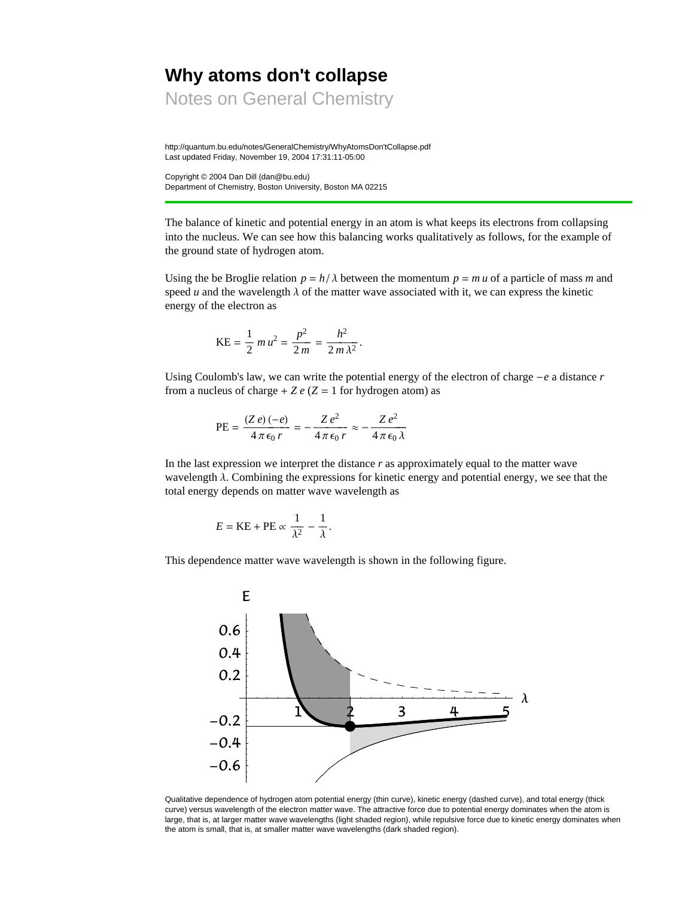# **Why atoms don't collapse**

Notes on General Chemistry

http://quantum.bu.edu/notes/GeneralChemistry/WhyAtomsDon'tCollapse.pdf Last updated Friday, November 19, 2004 17:31:11-05:00

Copyright © 2004 Dan Dill (dan@bu.edu) Department of Chemistry, Boston University, Boston MA 02215

The balance of kinetic and potential energy in an atom is what keeps its electrons from collapsing into the nucleus. We can see how this balancing works qualitatively as follows, for the example of the ground state of hydrogen atom.

Using the be Broglie relation  $p = h/\lambda$  between the momentum  $p = m u$  of a particle of mass *m* and speed *u* and the wavelength  $\lambda$  of the matter wave associated with it, we can express the kinetic energy of the electron as

$$
KE = \frac{1}{2} m u^2 = \frac{p^2}{2m} = \frac{h^2}{2m \lambda^2}.
$$

Using Coulomb's law, we can write the potential energy of the electron of charge  $-e$  a distance  $r$ from a nucleus of charge  $+ Z e (Z = 1$  for hydrogen atom) as

$$
PE = \frac{(Ze)(-e)}{4 \pi \epsilon_0 r} = -\frac{Ze^2}{4 \pi \epsilon_0 r} \approx -\frac{Ze^2}{4 \pi \epsilon_0 \lambda}
$$

In the last expression we interpret the distance *r* as approximately equal to the matter wave wavelength  $\lambda$ . Combining the expressions for kinetic energy and potential energy, we see that the total energy depends on matter wave wavelength as

$$
E = KE + PE \propto \frac{1}{\lambda^2} - \frac{1}{\lambda}.
$$

This dependence matter wave wavelength is shown in the following figure.



Qualitative dependence of hydrogen atom potential energy (thin curve), kinetic energy (dashed curve), and total energy (thick curve) versus wavelength of the electron matter wave. The attractive force due to potential energy dominates when the atom is large, that is, at larger matter wave wavelengths (light shaded region), while repulsive force due to kinetic energy dominates when the atom is small, that is, at smaller matter wave wavelengths (dark shaded region).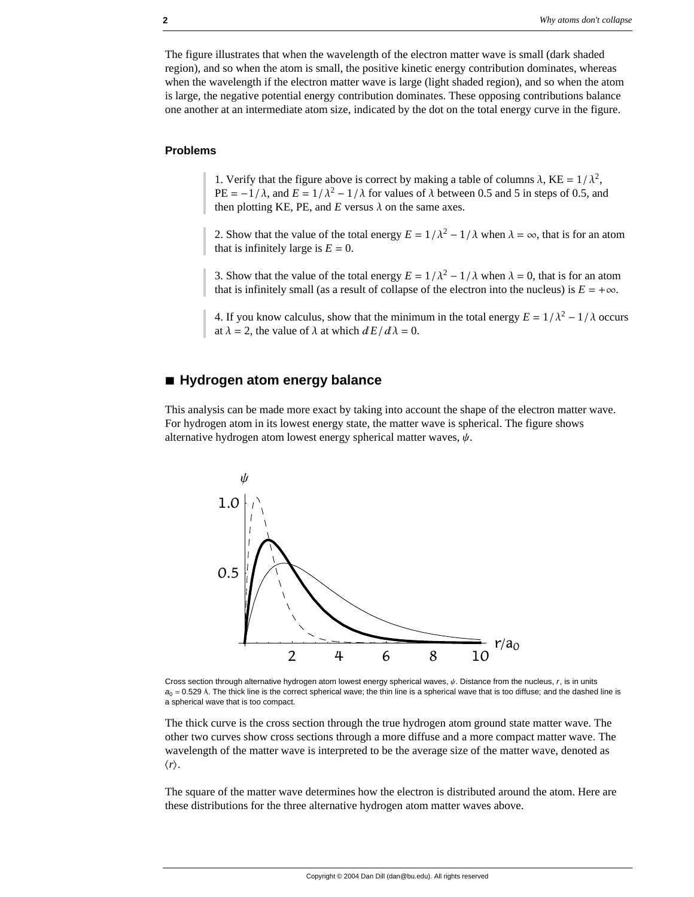The figure illustrates that when the wavelength of the electron matter wave is small (dark shaded region), and so when the atom is small, the positive kinetic energy contribution dominates, whereas when the wavelength if the electron matter wave is large (light shaded region), and so when the atom is large, the negative potential energy contribution dominates. These opposing contributions balance one another at an intermediate atom size, indicated by the dot on the total energy curve in the figure.

### **Problems**

1. Verify that the figure above is correct by making a table of columns  $\lambda$ , KE =  $1/\lambda^2$ , PE =  $-1/\lambda$ , and *E* =  $1/\lambda^2 - 1/\lambda$  for values of  $\lambda$  between 0.5 and 5 in steps of 0.5, and then plotting KE, PE, and  $E$  versus  $\lambda$  on the same axes.

2. Show that the value of the total energy  $E = 1/\lambda^2 - 1/\lambda$  when  $\lambda = \infty$ , that is for an atom that is infinitely large is  $E = 0$ .

3. Show that the value of the total energy  $E = 1/\lambda^2 - 1/\lambda$  when  $\lambda = 0$ , that is for an atom that is infinitely small (as a result of collapse of the electron into the nucleus) is  $E = +\infty$ .

4. If you know calculus, show that the minimum in the total energy  $E = 1/\lambda^2 - 1/\lambda$  occurs at  $\lambda = 2$ , the value of  $\lambda$  at which  $dE/d\lambda = 0$ .

## **à Hydrogen atom energy balance**

This analysis can be made more exact by taking into account the shape of the electron matter wave. For hydrogen atom in its lowest energy state, the matter wave is spherical. The figure shows alternative hydrogen atom lowest energy spherical matter waves,  $\psi$ .



Cross section through alternative hydrogen atom lowest energy spherical waves,  $\psi$ . Distance from the nucleus,  $r$ , is in units  $a_0 = 0.529$  Å. The thick line is the correct spherical wave; the thin line is a spherical wave that is too diffuse; and the dashed line is a spherical wave that is too compact.

The thick curve is the cross section through the true hydrogen atom ground state matter wave. The other two curves show cross sections through a more diffuse and a more compact matter wave. The wavelength of the matter wave is interpreted to be the average size of the matter wave, denoted as  $\langle r \rangle$ .

The square of the matter wave determines how the electron is distributed around the atom. Here are these distributions for the three alternative hydrogen atom matter waves above.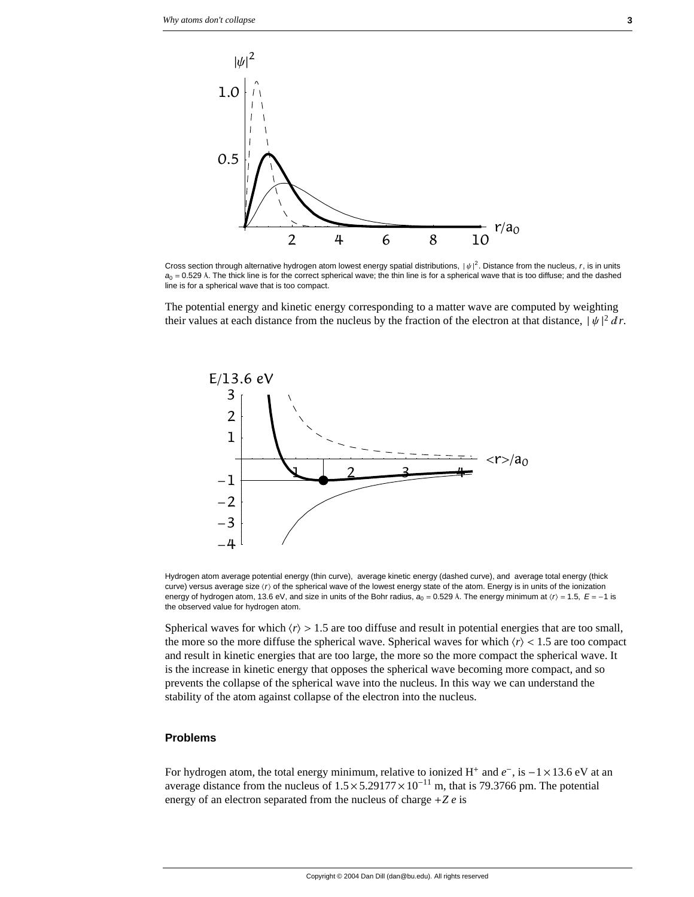

Cross section through alternative hydrogen atom lowest energy spatial distributions,  $|\psi|^2$ . Distance from the nucleus, *r*, is in units  $a_0 = 0.529$  Å. The thick line is for the correct spherical wave; the thin line is for a spherical wave that is too diffuse; and the dashed line is for a spherical wave that is too compact.

The potential energy and kinetic energy corresponding to a matter wave are computed by weighting their values at each distance from the nucleus by the fraction of the electron at that distance,  $|\psi|^2 dr$ .



Hydrogen atom average potential energy (thin curve), average kinetic energy (dashed curve), and average total energy (thick curve) versus average size (r) of the spherical wave of the lowest energy state of the atom. Energy is in units of the ionization energy of hydrogen atom, 13.6 eV, and size in units of the Bohr radius,  $a_0 = 0.529$  Å. The energy minimum at  $\langle r \rangle = 1.5$ ,  $E = -1$  is the observed value for hydrogen atom.

Spherical waves for which  $\langle r \rangle > 1.5$  are too diffuse and result in potential energies that are too small, the more so the more diffuse the spherical wave. Spherical waves for which  $\langle r \rangle$  < 1.5 are too compact and result in kinetic energies that are too large, the more so the more compact the spherical wave. It is the increase in kinetic energy that opposes the spherical wave becoming more compact, and so prevents the collapse of the spherical wave into the nucleus. In this way we can understand the stability of the atom against collapse of the electron into the nucleus.

#### **Problems**

For hydrogen atom, the total energy minimum, relative to ionized H<sup>+</sup> and  $e^-$ , is  $-1 \times 13.6$  eV at an average distance from the nucleus of  $1.5 \times 5.29177 \times 10^{-11}$  m, that is 79.3766 pm. The potential energy of an electron separated from the nucleus of charge +*Z e* is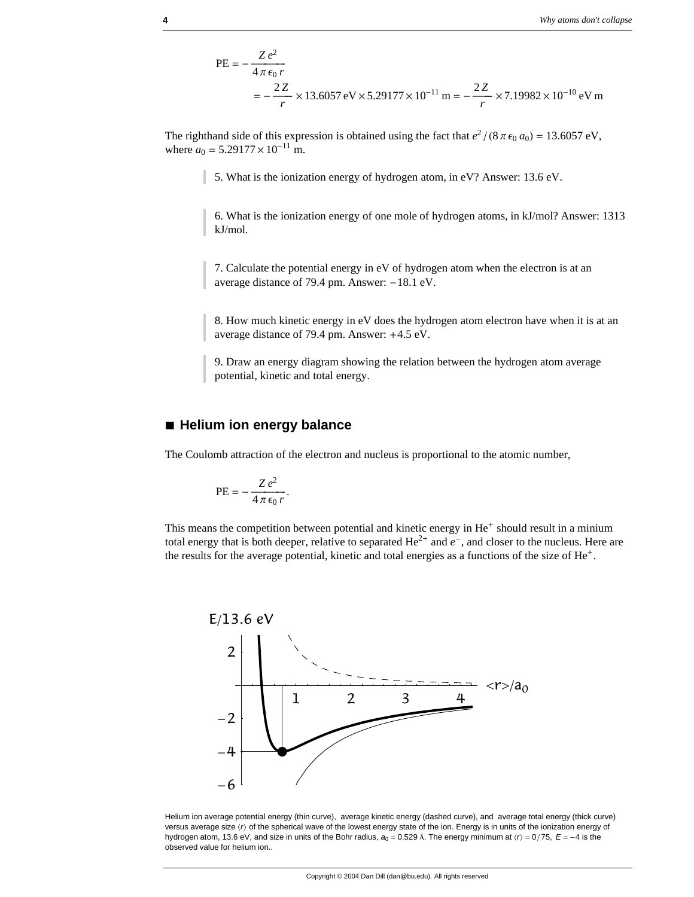$$
PE = -\frac{Ze^2}{4\pi\epsilon_0 r}
$$
  
=  $-\frac{2Z}{r} \times 13.6057 \text{ eV} \times 5.29177 \times 10^{-11} \text{ m} = -\frac{2Z}{r} \times 7.19982 \times 10^{-10} \text{ eV m}$ 

The righthand side of this expression is obtained using the fact that  $e^2/(8 \pi \epsilon_0 a_0) = 13.6057 \text{ eV}$ , where  $a_0 = 5.29177 \times 10^{-11}$  m.

5. What is the ionization energy of hydrogen atom, in eV? Answer: 13.6 eV.

6. What is the ionization energy of one mole of hydrogen atoms, in kJ/mol? Answer: 1313 kJ/mol.

7. Calculate the potential energy in eV of hydrogen atom when the electron is at an average distance of 79.4 pm. Answer:  $-18.1$  eV.

8. How much kinetic energy in eV does the hydrogen atom electron have when it is at an average distance of 79.4 pm. Answer: +4.5 eV.

9. Draw an energy diagram showing the relation between the hydrogen atom average potential, kinetic and total energy.

#### **à Helium ion energy balance**

The Coulomb attraction of the electron and nucleus is proportional to the atomic number,

$$
PE = -\frac{Z e^2}{4 \pi \epsilon_0 r}.
$$

This means the competition between potential and kinetic energy in  $He<sup>+</sup>$  should result in a minium total energy that is both deeper, relative to separated  $He^{2+}$  and  $e^-$ , and closer to the nucleus. Here are the results for the average potential, kinetic and total energies as a functions of the size of He+.



Helium ion average potential energy (thin curve), average kinetic energy (dashed curve), and average total energy (thick curve) versus average size  $\langle r\rangle$  of the spherical wave of the lowest energy state of the ion. Energy is in units of the ionization energy of hydrogen atom, 13.6 eV, and size in units of the Bohr radius,  $a_0 = 0.529$  Å. The energy minimum at  $\langle r \rangle = 0/75$ ,  $E = -4$  is the observed value for helium ion..